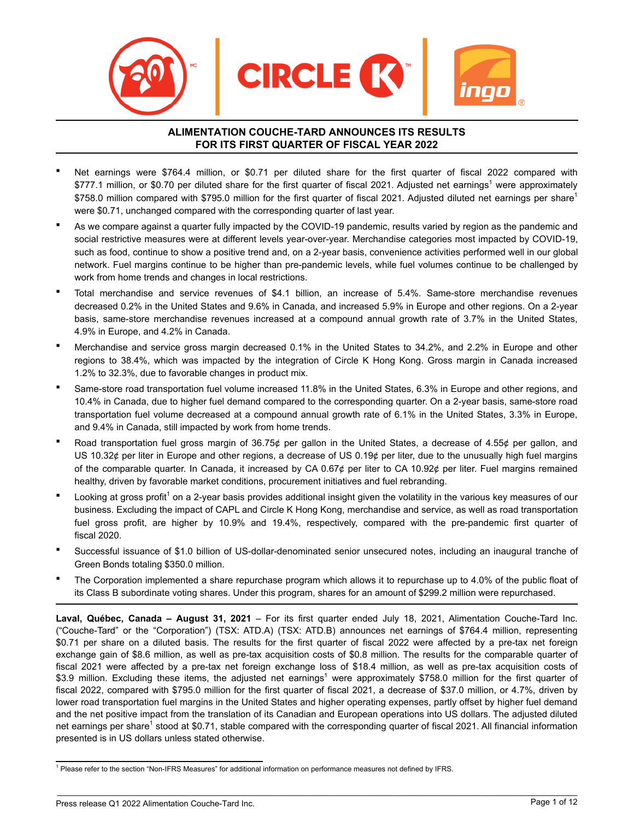

#### **ALIMENTATION COUCHE-TARD ANNOUNCES ITS RESULTS FOR ITS FIRST QUARTER OF FISCAL YEAR 2022**

- Net earnings were \$764.4 million, or \$0.71 per diluted share for the first quarter of fiscal 2022 compared with \$777.1 million, or \$0.70 per diluted share for the first quarter of fiscal 2021. Adjusted net earnings<sup>1</sup> were approximately \$758.0 million compared with \$795.0 million for the first quarter of fiscal 2021. Adjusted diluted net earnings per share<sup>1</sup> were \$0.71, unchanged compared with the corresponding quarter of last year.
- As we compare against a quarter fully impacted by the COVID-19 pandemic, results varied by region as the pandemic and social restrictive measures were at different levels year-over-year. Merchandise categories most impacted by COVID-19, such as food, continue to show a positive trend and, on a 2-year basis, convenience activities performed well in our global network. Fuel margins continue to be higher than pre-pandemic levels, while fuel volumes continue to be challenged by work from home trends and changes in local restrictions.
- Total merchandise and service revenues of \$4.1 billion, an increase of 5.4%. Same-store merchandise revenues decreased 0.2% in the United States and 9.6% in Canada, and increased 5.9% in Europe and other regions. On a 2-year basis, same-store merchandise revenues increased at a compound annual growth rate of 3.7% in the United States, 4.9% in Europe, and 4.2% in Canada.
- Merchandise and service gross margin decreased 0.1% in the United States to 34.2%, and 2.2% in Europe and other regions to 38.4%, which was impacted by the integration of Circle K Hong Kong. Gross margin in Canada increased 1.2% to 32.3%, due to favorable changes in product mix.
- Same-store road transportation fuel volume increased 11.8% in the United States, 6.3% in Europe and other regions, and 10.4% in Canada, due to higher fuel demand compared to the corresponding quarter. On a 2-year basis, same-store road transportation fuel volume decreased at a compound annual growth rate of 6.1% in the United States, 3.3% in Europe, and 9.4% in Canada, still impacted by work from home trends.
- Road transportation fuel gross margin of 36.75¢ per gallon in the United States, a decrease of 4.55¢ per gallon, and US 10.32 $\rlap{\ell}$  per liter in Europe and other regions, a decrease of US 0.19 $\rlap{\ell}$  per liter, due to the unusually high fuel margins of the comparable quarter. In Canada, it increased by CA 0.67¢ per liter to CA 10.92¢ per liter. Fuel margins remained healthy, driven by favorable market conditions, procurement initiatives and fuel rebranding.
- " Looking at gross profit<sup>1</sup> on a 2-year basis provides additional insight given the volatility in the various key measures of our business. Excluding the impact of CAPL and Circle K Hong Kong, merchandise and service, as well as road transportation fuel gross profit, are higher by 10.9% and 19.4%, respectively, compared with the pre-pandemic first quarter of fiscal 2020.
- Successful issuance of \$1.0 billion of US-dollar-denominated senior unsecured notes, including an inaugural tranche of Green Bonds totaling \$350.0 million.
- The Corporation implemented a share repurchase program which allows it to repurchase up to 4.0% of the public float of its Class B subordinate voting shares. Under this program, shares for an amount of \$299.2 million were repurchased.

**Laval, Québec, Canada – August 31, 2021** – For its first quarter ended July 18, 2021, Alimentation Couche-Tard Inc. ("Couche-Tard" or the "Corporation") (TSX: ATD.A) (TSX: ATD.B) announces net earnings of \$764.4 million, representing \$0.71 per share on a diluted basis. The results for the first quarter of fiscal 2022 were affected by a pre-tax net foreign exchange gain of \$8.6 million, as well as pre-tax acquisition costs of \$0.8 million. The results for the comparable quarter of fiscal 2021 were affected by a pre-tax net foreign exchange loss of \$18.4 million, as well as pre-tax acquisition costs of \$3.9 million. Excluding these items, the adjusted net earnings<sup>1</sup> were approximately \$758.0 million for the first quarter of fiscal 2022, compared with \$795.0 million for the first quarter of fiscal 2021, a decrease of \$37.0 million, or 4.7%, driven by lower road transportation fuel margins in the United States and higher operating expenses, partly offset by higher fuel demand and the net positive impact from the translation of its Canadian and European operations into US dollars. The adjusted diluted net earnings per share<sup>1</sup> stood at \$0.71, stable compared with the corresponding quarter of fiscal 2021. All financial information presented is in US dollars unless stated otherwise.

<sup>&</sup>lt;sup>1</sup> Please refer to the section "Non-IFRS Measures" for additional information on performance measures not defined by IFRS.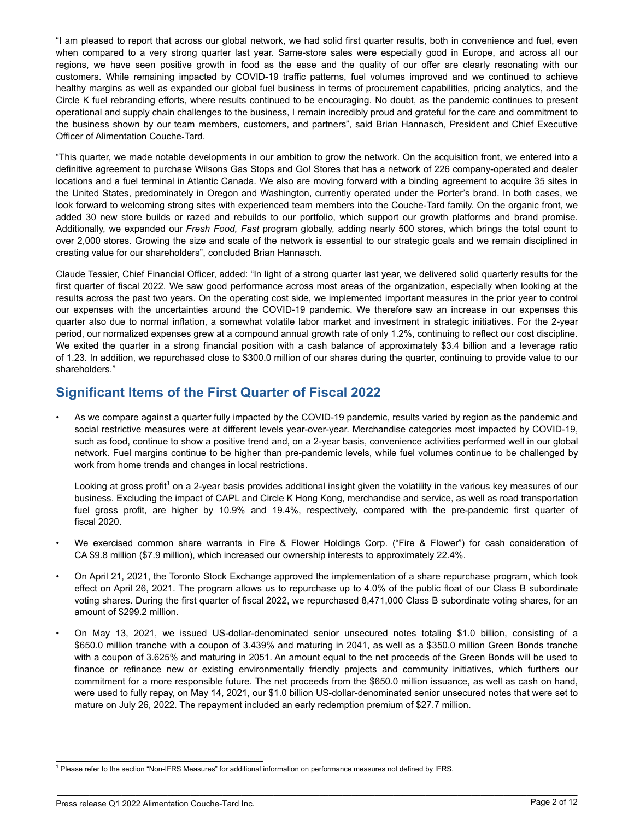"I am pleased to report that across our global network, we had solid first quarter results, both in convenience and fuel, even when compared to a very strong quarter last year. Same-store sales were especially good in Europe, and across all our regions, we have seen positive growth in food as the ease and the quality of our offer are clearly resonating with our customers. While remaining impacted by COVID-19 traffic patterns, fuel volumes improved and we continued to achieve healthy margins as well as expanded our global fuel business in terms of procurement capabilities, pricing analytics, and the Circle K fuel rebranding efforts, where results continued to be encouraging. No doubt, as the pandemic continues to present operational and supply chain challenges to the business, I remain incredibly proud and grateful for the care and commitment to the business shown by our team members, customers, and partners", said Brian Hannasch, President and Chief Executive Officer of Alimentation Couche-Tard.

"This quarter, we made notable developments in our ambition to grow the network. On the acquisition front, we entered into a definitive agreement to purchase Wilsons Gas Stops and Go! Stores that has a network of 226 company-operated and dealer locations and a fuel terminal in Atlantic Canada. We also are moving forward with a binding agreement to acquire 35 sites in the United States, predominately in Oregon and Washington, currently operated under the Porter's brand. In both cases, we look forward to welcoming strong sites with experienced team members into the Couche-Tard family. On the organic front, we added 30 new store builds or razed and rebuilds to our portfolio, which support our growth platforms and brand promise. Additionally, we expanded our *Fresh Food, Fast* program globally, adding nearly 500 stores, which brings the total count to over 2,000 stores. Growing the size and scale of the network is essential to our strategic goals and we remain disciplined in creating value for our shareholders", concluded Brian Hannasch.

Claude Tessier, Chief Financial Officer, added: "In light of a strong quarter last year, we delivered solid quarterly results for the first quarter of fiscal 2022. We saw good performance across most areas of the organization, especially when looking at the results across the past two years. On the operating cost side, we implemented important measures in the prior year to control our expenses with the uncertainties around the COVID-19 pandemic. We therefore saw an increase in our expenses this quarter also due to normal inflation, a somewhat volatile labor market and investment in strategic initiatives. For the 2-year period, our normalized expenses grew at a compound annual growth rate of only 1.2%, continuing to reflect our cost discipline. We exited the quarter in a strong financial position with a cash balance of approximately \$3.4 billion and a leverage ratio of 1.23. In addition, we repurchased close to \$300.0 million of our shares during the quarter, continuing to provide value to our shareholders."

# **Significant Items of the First Quarter of Fiscal 2022**

• As we compare against a quarter fully impacted by the COVID-19 pandemic, results varied by region as the pandemic and social restrictive measures were at different levels year-over-year. Merchandise categories most impacted by COVID-19, such as food, continue to show a positive trend and, on a 2-year basis, convenience activities performed well in our global network. Fuel margins continue to be higher than pre-pandemic levels, while fuel volumes continue to be challenged by work from home trends and changes in local restrictions.

Looking at gross profit<sup>1</sup> on a 2-year basis provides additional insight given the volatility in the various key measures of our business. Excluding the impact of CAPL and Circle K Hong Kong, merchandise and service, as well as road transportation fuel gross profit, are higher by 10.9% and 19.4%, respectively, compared with the pre-pandemic first quarter of fiscal 2020.

- We exercised common share warrants in Fire & Flower Holdings Corp. ("Fire & Flower") for cash consideration of CA \$9.8 million (\$7.9 million), which increased our ownership interests to approximately 22.4%.
- On April 21, 2021, the Toronto Stock Exchange approved the implementation of a share repurchase program, which took effect on April 26, 2021. The program allows us to repurchase up to 4.0% of the public float of our Class B subordinate voting shares. During the first quarter of fiscal 2022, we repurchased 8,471,000 Class B subordinate voting shares, for an amount of \$299.2 million.
- On May 13, 2021, we issued US-dollar-denominated senior unsecured notes totaling \$1.0 billion, consisting of a \$650.0 million tranche with a coupon of 3.439% and maturing in 2041, as well as a \$350.0 million Green Bonds tranche with a coupon of 3.625% and maturing in 2051. An amount equal to the net proceeds of the Green Bonds will be used to finance or refinance new or existing environmentally friendly projects and community initiatives, which furthers our commitment for a more responsible future. The net proceeds from the \$650.0 million issuance, as well as cash on hand, were used to fully repay, on May 14, 2021, our \$1.0 billion US-dollar-denominated senior unsecured notes that were set to mature on July 26, 2022. The repayment included an early redemption premium of \$27.7 million.

<sup>&</sup>lt;sup>1</sup> Please refer to the section "Non-IFRS Measures" for additional information on performance measures not defined by IFRS.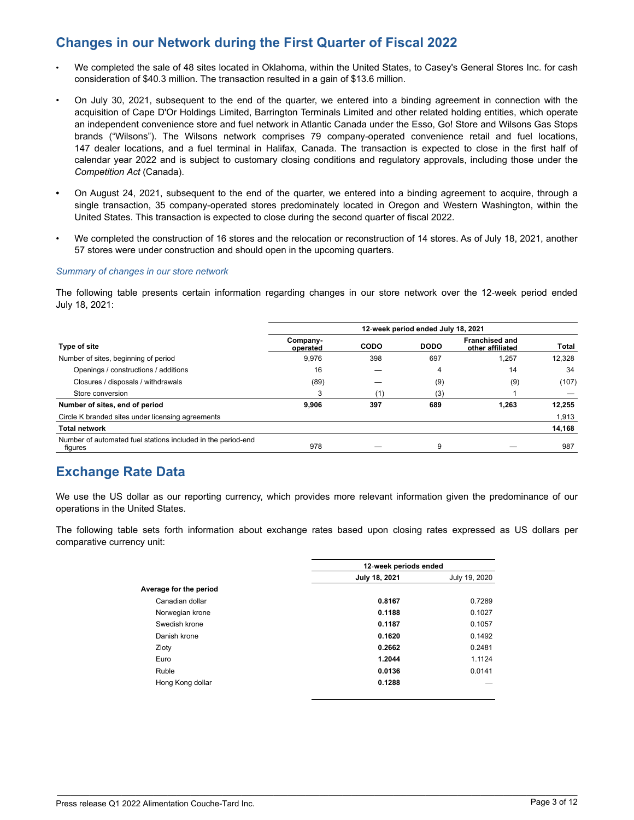# **Changes in our Network during the First Quarter of Fiscal 2022**

- *•* We completed the sale of 48 sites located in Oklahoma, within the United States, to Casey's General Stores Inc. for cash consideration of \$40.3 million. The transaction resulted in a gain of \$13.6 million.
- On July 30, 2021, subsequent to the end of the quarter, we entered into a binding agreement in connection with the acquisition of Cape D'Or Holdings Limited, Barrington Terminals Limited and other related holding entities, which operate an independent convenience store and fuel network in Atlantic Canada under the Esso, Go! Store and Wilsons Gas Stops brands ("Wilsons"). The Wilsons network comprises 79 company-operated convenience retail and fuel locations, 147 dealer locations, and a fuel terminal in Halifax, Canada. The transaction is expected to close in the first half of calendar year 2022 and is subject to customary closing conditions and regulatory approvals, including those under the *Competition Act* (Canada).
- **•** On August 24, 2021, subsequent to the end of the quarter, we entered into a binding agreement to acquire, through a single transaction, 35 company-operated stores predominately located in Oregon and Western Washington, within the United States. This transaction is expected to close during the second quarter of fiscal 2022.
- We completed the construction of 16 stores and the relocation or reconstruction of 14 stores. As of July 18, 2021, another 57 stores were under construction and should open in the upcoming quarters.

#### *Summary of changes in our store network*

The following table presents certain information regarding changes in our store network over the 12‑week period ended July 18, 2021:

|                                                                         | 12-week period ended July 18, 2021 |      |             |                                           |        |
|-------------------------------------------------------------------------|------------------------------------|------|-------------|-------------------------------------------|--------|
| <b>Type of site</b>                                                     | Company-<br>operated               | CODO | <b>DODO</b> | <b>Franchised and</b><br>other affiliated | Total  |
| Number of sites, beginning of period                                    | 9,976                              | 398  | 697         | 1,257                                     | 12,328 |
| Openings / constructions / additions                                    | 16                                 |      | 4           | 14                                        | 34     |
| Closures / disposals / withdrawals                                      | (89)                               |      | (9)         | (9)                                       | (107)  |
| Store conversion                                                        | 3                                  | (1)  | (3)         |                                           |        |
| Number of sites, end of period                                          | 9.906                              | 397  | 689         | 1,263                                     | 12,255 |
| Circle K branded sites under licensing agreements                       |                                    |      |             |                                           | 1,913  |
| <b>Total network</b>                                                    |                                    |      |             |                                           | 14,168 |
| Number of automated fuel stations included in the period-end<br>figures | 978                                |      | 9           |                                           | 987    |

# **Exchange Rate Data**

We use the US dollar as our reporting currency, which provides more relevant information given the predominance of our operations in the United States.

The following table sets forth information about exchange rates based upon closing rates expressed as US dollars per comparative currency unit:

|                        | 12-week periods ended |               |  |
|------------------------|-----------------------|---------------|--|
|                        | July 18, 2021         | July 19, 2020 |  |
| Average for the period |                       |               |  |
| Canadian dollar        | 0.8167                | 0.7289        |  |
| Norwegian krone        | 0.1188                | 0.1027        |  |
| Swedish krone          | 0.1187                | 0.1057        |  |
| Danish krone           | 0.1620                | 0.1492        |  |
| Zloty                  | 0.2662                | 0.2481        |  |
| Euro                   | 1.2044                | 1.1124        |  |
| Ruble                  | 0.0136                | 0.0141        |  |
| Hong Kong dollar       | 0.1288                |               |  |
|                        |                       |               |  |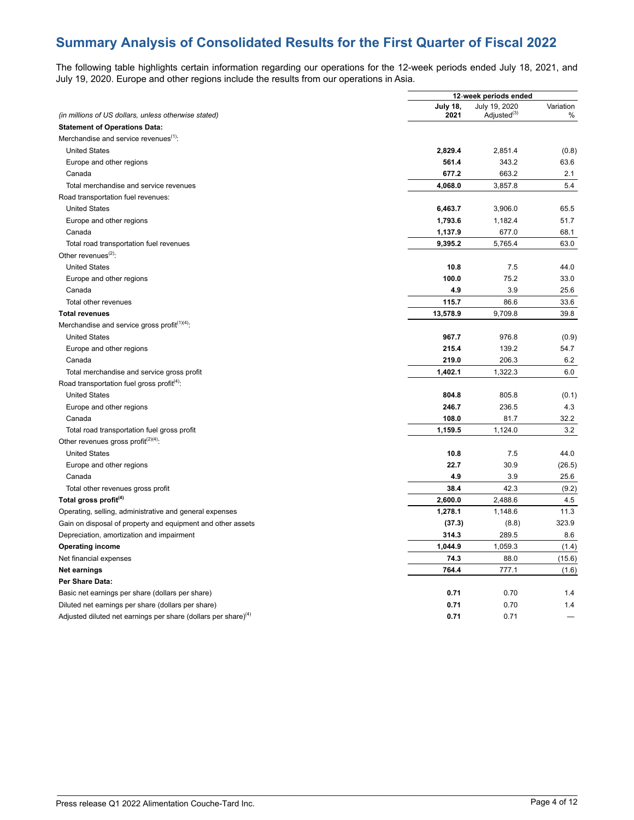# **Summary Analysis of Consolidated Results for the First Quarter of Fiscal 2022**

The following table highlights certain information regarding our operations for the 12-week periods ended July 18, 2021, and July 19, 2020. Europe and other regions include the results from our operations in Asia.

|                                                                            |                         | 12-week periods ended                    |                |
|----------------------------------------------------------------------------|-------------------------|------------------------------------------|----------------|
| (in millions of US dollars, unless otherwise stated)                       | <b>July 18,</b><br>2021 | July 19, 2020<br>Adjusted <sup>(3)</sup> | Variation<br>% |
| <b>Statement of Operations Data:</b>                                       |                         |                                          |                |
| Merchandise and service revenues <sup>(1)</sup> :                          |                         |                                          |                |
| <b>United States</b>                                                       | 2,829.4                 | 2,851.4                                  | (0.8)          |
| Europe and other regions                                                   | 561.4                   | 343.2                                    | 63.6           |
| Canada                                                                     | 677.2                   | 663.2                                    | 2.1            |
| Total merchandise and service revenues                                     | 4,068.0                 | 3,857.8                                  | 5.4            |
| Road transportation fuel revenues:                                         |                         |                                          |                |
| <b>United States</b>                                                       | 6,463.7                 | 3,906.0                                  | 65.5           |
| Europe and other regions                                                   | 1,793.6                 | 1,182.4                                  | 51.7           |
| Canada                                                                     | 1,137.9                 | 677.0                                    | 68.1           |
|                                                                            |                         |                                          |                |
| Total road transportation fuel revenues<br>Other revenues $^{(2)}$ :       | 9,395.2                 | 5,765.4                                  | 63.0           |
|                                                                            |                         |                                          |                |
| <b>United States</b>                                                       | 10.8                    | 7.5                                      | 44.0           |
| Europe and other regions                                                   | 100.0                   | 75.2                                     | 33.0           |
| Canada                                                                     | 4.9                     | 3.9                                      | 25.6           |
| Total other revenues                                                       | 115.7                   | 86.6                                     | 33.6           |
| <b>Total revenues</b>                                                      | 13,578.9                | 9,709.8                                  | 39.8           |
| Merchandise and service gross profit $(1)(4)$ .                            |                         |                                          |                |
| <b>United States</b>                                                       | 967.7                   | 976.8                                    | (0.9)          |
| Europe and other regions                                                   | 215.4                   | 139.2                                    | 54.7           |
| Canada                                                                     | 219.0                   | 206.3                                    | 6.2            |
| Total merchandise and service gross profit                                 | 1,402.1                 | 1,322.3                                  | 6.0            |
| Road transportation fuel gross profit <sup>(4)</sup> :                     |                         |                                          |                |
| <b>United States</b>                                                       | 804.8                   | 805.8                                    | (0.1)          |
| Europe and other regions                                                   | 246.7                   | 236.5                                    | 4.3            |
| Canada                                                                     | 108.0                   | 81.7                                     | 32.2           |
| Total road transportation fuel gross profit                                | 1,159.5                 | 1,124.0                                  | 3.2            |
| Other revenues gross profit <sup><math>(2)(4)</math></sup> :               |                         |                                          |                |
| <b>United States</b>                                                       | 10.8                    | 7.5                                      | 44.0           |
| Europe and other regions                                                   | 22.7                    | 30.9                                     | (26.5)         |
| Canada                                                                     | 4.9                     | 3.9                                      | 25.6           |
| Total other revenues gross profit                                          | 38.4                    | 42.3                                     | (9.2)          |
| Total gross profit <sup>(4)</sup>                                          | 2,600.0                 | 2,488.6                                  | 4.5            |
| Operating, selling, administrative and general expenses                    | 1,278.1                 | 1,148.6                                  | 11.3           |
| Gain on disposal of property and equipment and other assets                | (37.3)                  | (8.8)                                    | 323.9          |
| Depreciation, amortization and impairment                                  | 314.3                   | 289.5                                    | 8.6            |
| <b>Operating income</b>                                                    | 1,044.9                 | 1,059.3                                  | (1.4)          |
| Net financial expenses                                                     | 74.3                    | 88.0                                     | (15.6)         |
| <b>Net earnings</b>                                                        | 764.4                   | 777.1                                    | (1.6)          |
| Per Share Data:                                                            |                         |                                          |                |
| Basic net earnings per share (dollars per share)                           | 0.71                    | 0.70                                     | 1.4            |
| Diluted net earnings per share (dollars per share)                         | 0.71                    | 0.70                                     | 1.4            |
| Adjusted diluted net earnings per share (dollars per share) <sup>(4)</sup> | 0.71                    | 0.71                                     |                |
|                                                                            |                         |                                          |                |

\_\_\_\_\_\_\_\_\_\_\_\_\_\_\_\_\_\_\_\_\_\_\_\_\_\_\_\_\_\_\_\_\_\_\_\_\_\_\_\_\_\_\_\_\_\_\_\_\_\_\_\_\_\_\_\_\_\_\_\_\_\_\_\_\_\_\_\_\_\_\_\_\_\_\_\_\_\_\_\_\_\_\_\_\_\_\_\_\_\_\_\_\_\_\_\_\_\_\_\_\_\_\_\_\_\_\_\_\_\_\_\_\_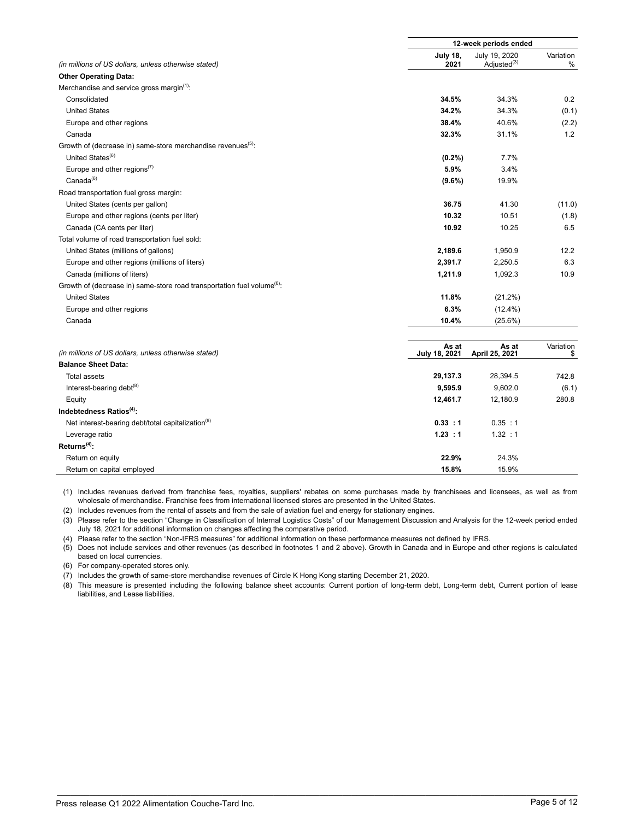|                                                                                     |                         | 12-week periods ended                    |                |  |
|-------------------------------------------------------------------------------------|-------------------------|------------------------------------------|----------------|--|
| (in millions of US dollars, unless otherwise stated)                                | <b>July 18,</b><br>2021 | July 19, 2020<br>Adjusted <sup>(3)</sup> | Variation<br>% |  |
| <b>Other Operating Data:</b>                                                        |                         |                                          |                |  |
| Merchandise and service gross margin <sup>(1)</sup> :                               |                         |                                          |                |  |
| Consolidated                                                                        | 34.5%                   | 34.3%                                    | 0.2            |  |
| <b>United States</b>                                                                | 34.2%                   | 34.3%                                    | (0.1)          |  |
| Europe and other regions                                                            | 38.4%                   | 40.6%                                    | (2.2)          |  |
| Canada                                                                              | 32.3%                   | 31.1%                                    | 1.2            |  |
| Growth of (decrease in) same-store merchandise revenues <sup>(5)</sup> :            |                         |                                          |                |  |
| United States <sup>(6)</sup>                                                        | (0.2%)                  | 7.7%                                     |                |  |
| Europe and other regions <sup><math>(7)</math></sup>                                | 5.9%                    | 3.4%                                     |                |  |
| Canada <sup>(6)</sup>                                                               | $(9.6\%)$               | 19.9%                                    |                |  |
| Road transportation fuel gross margin:                                              |                         |                                          |                |  |
| United States (cents per gallon)                                                    | 36.75                   | 41.30                                    | (11.0)         |  |
| Europe and other regions (cents per liter)                                          | 10.32                   | 10.51                                    | (1.8)          |  |
| Canada (CA cents per liter)                                                         | 10.92                   | 10.25                                    | 6.5            |  |
| Total volume of road transportation fuel sold:                                      |                         |                                          |                |  |
| United States (millions of gallons)                                                 | 2,189.6                 | 1,950.9                                  | 12.2           |  |
| Europe and other regions (millions of liters)                                       | 2,391.7                 | 2,250.5                                  | 6.3            |  |
| Canada (millions of liters)                                                         | 1,211.9                 | 1,092.3                                  | 10.9           |  |
| Growth of (decrease in) same-store road transportation fuel volume <sup>(6)</sup> : |                         |                                          |                |  |
| <b>United States</b>                                                                | 11.8%                   | (21.2%)                                  |                |  |
| Europe and other regions                                                            | 6.3%                    | $(12.4\%)$                               |                |  |
| Canada                                                                              | 10.4%                   | (25.6%)                                  |                |  |
|                                                                                     | As at                   | As at                                    | Variation      |  |
| (in millions of US dollars, unless otherwise stated)                                | July 18, 2021           | April 25, 2021                           | \$             |  |
| <b>Balance Sheet Data:</b>                                                          |                         |                                          |                |  |
| Total assets                                                                        | 29,137.3                | 28,394.5                                 | 742.8          |  |
| Interest-bearing debt <sup>(8)</sup>                                                | 9,595.9                 | 9,602.0                                  | (6.1)          |  |
| Equity                                                                              | 12,461.7                | 12,180.9                                 | 280.8          |  |
| Indebtedness Ratios <sup>(4)</sup> :                                                |                         |                                          |                |  |
| Net interest-bearing debt/total capitalization <sup>(8)</sup>                       | 0.33 : 1                | 0.35 : 1                                 |                |  |
| Leverage ratio<br>$Returns(4)$ :                                                    | 1.23 : 1                | 1.32 : 1                                 |                |  |
|                                                                                     |                         |                                          |                |  |
| Return on equity                                                                    | 22.9%                   | 24.3%                                    |                |  |
| Return on capital employed                                                          | 15.8%                   | 15.9%                                    |                |  |

(1) Includes revenues derived from franchise fees, royalties, suppliers' rebates on some purchases made by franchisees and licensees, as well as from wholesale of merchandise. Franchise fees from international licensed stores are presented in the United States.

(2) Includes revenues from the rental of assets and from the sale of aviation fuel and energy for stationary engines.

(3) Please refer to the section "Change in Classification of Internal Logistics Costs" of our Management Discussion and Analysis for the 12-week period ended July 18, 2021 for additional information on changes affecting the comparative period.

(4) Please refer to the section "Non-IFRS measures" for additional information on these performance measures not defined by IFRS.

(5) Does not include services and other revenues (as described in footnotes 1 and 2 above). Growth in Canada and in Europe and other regions is calculated based on local currencies.

(6) For company-operated stores only.

(7) Includes the growth of same-store merchandise revenues of Circle K Hong Kong starting December 21, 2020.

(8) This measure is presented including the following balance sheet accounts: Current portion of long-term debt, Long-term debt, Current portion of lease liabilities, and Lease liabilities.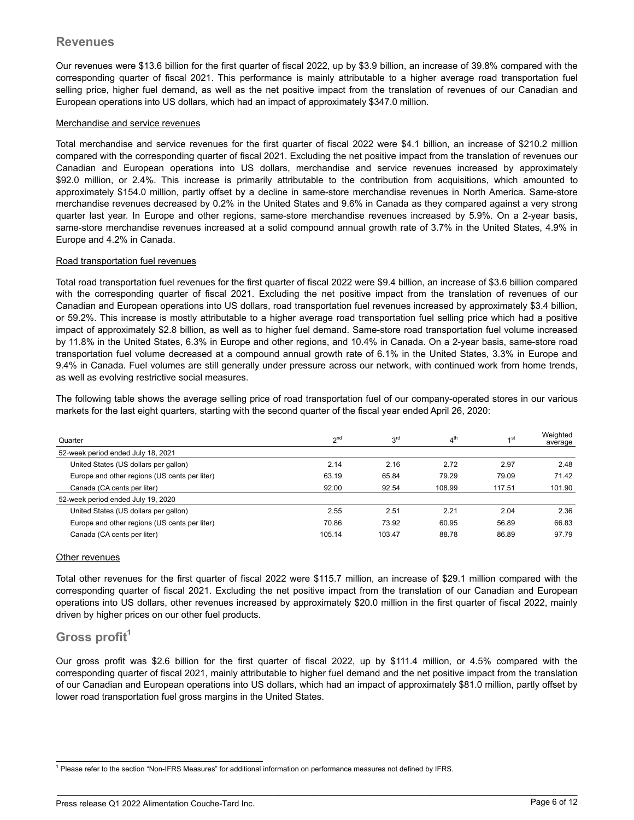### **Revenues**

Our revenues were \$13.6 billion for the first quarter of fiscal 2022, up by \$3.9 billion, an increase of 39.8% compared with the corresponding quarter of fiscal 2021. This performance is mainly attributable to a higher average road transportation fuel selling price, higher fuel demand, as well as the net positive impact from the translation of revenues of our Canadian and European operations into US dollars, which had an impact of approximately \$347.0 million.

#### Merchandise and service revenues

Total merchandise and service revenues for the first quarter of fiscal 2022 were \$4.1 billion, an increase of \$210.2 million compared with the corresponding quarter of fiscal 2021. Excluding the net positive impact from the translation of revenues our Canadian and European operations into US dollars, merchandise and service revenues increased by approximately \$92.0 million, or 2.4%. This increase is primarily attributable to the contribution from acquisitions, which amounted to approximately \$154.0 million, partly offset by a decline in same-store merchandise revenues in North America. Same-store merchandise revenues decreased by 0.2% in the United States and 9.6% in Canada as they compared against a very strong quarter last year. In Europe and other regions, same-store merchandise revenues increased by 5.9%. On a 2-year basis, same-store merchandise revenues increased at a solid compound annual growth rate of 3.7% in the United States, 4.9% in Europe and 4.2% in Canada.

#### Road transportation fuel revenues

Total road transportation fuel revenues for the first quarter of fiscal 2022 were \$9.4 billion, an increase of \$3.6 billion compared with the corresponding quarter of fiscal 2021. Excluding the net positive impact from the translation of revenues of our Canadian and European operations into US dollars, road transportation fuel revenues increased by approximately \$3.4 billion, or 59.2%. This increase is mostly attributable to a higher average road transportation fuel selling price which had a positive impact of approximately \$2.8 billion, as well as to higher fuel demand. Same-store road transportation fuel volume increased by 11.8% in the United States, 6.3% in Europe and other regions, and 10.4% in Canada. On a 2-year basis, same-store road transportation fuel volume decreased at a compound annual growth rate of 6.1% in the United States, 3.3% in Europe and 9.4% in Canada. Fuel volumes are still generally under pressure across our network, with continued work from home trends, as well as evolving restrictive social measures.

The following table shows the average selling price of road transportation fuel of our company-operated stores in our various markets for the last eight quarters, starting with the second quarter of the fiscal year ended April 26, 2020:

| Quarter                                       | 2 <sub>nd</sub> | $2^{\text{rd}}$ | 4 <sup>th</sup> | 1 <sub>st</sub> | Weighted<br>average |
|-----------------------------------------------|-----------------|-----------------|-----------------|-----------------|---------------------|
| 52-week period ended July 18, 2021            |                 |                 |                 |                 |                     |
| United States (US dollars per gallon)         | 2.14            | 2.16            | 2.72            | 2.97            | 2.48                |
| Europe and other regions (US cents per liter) | 63.19           | 65.84           | 79.29           | 79.09           | 71.42               |
| Canada (CA cents per liter)                   | 92.00           | 92.54           | 108.99          | 117.51          | 101.90              |
| 52-week period ended July 19, 2020            |                 |                 |                 |                 |                     |
| United States (US dollars per gallon)         | 2.55            | 2.51            | 2.21            | 2.04            | 2.36                |
| Europe and other regions (US cents per liter) | 70.86           | 73.92           | 60.95           | 56.89           | 66.83               |
| Canada (CA cents per liter)                   | 105.14          | 103.47          | 88.78           | 86.89           | 97.79               |

#### Other revenues

Total other revenues for the first quarter of fiscal 2022 were \$115.7 million, an increase of \$29.1 million compared with the corresponding quarter of fiscal 2021. Excluding the net positive impact from the translation of our Canadian and European operations into US dollars, other revenues increased by approximately \$20.0 million in the first quarter of fiscal 2022, mainly driven by higher prices on our other fuel products.

### **Gross profit<sup>1</sup>**

.

Our gross profit was \$2.6 billion for the first quarter of fiscal 2022, up by \$111.4 million, or 4.5% compared with the corresponding quarter of fiscal 2021, mainly attributable to higher fuel demand and the net positive impact from the translation of our Canadian and European operations into US dollars, which had an impact of approximately \$81.0 million, partly offset by lower road transportation fuel gross margins in the United States.

<sup>&</sup>lt;sup>1</sup> Please refer to the section "Non-IFRS Measures" for additional information on performance measures not defined by IFRS.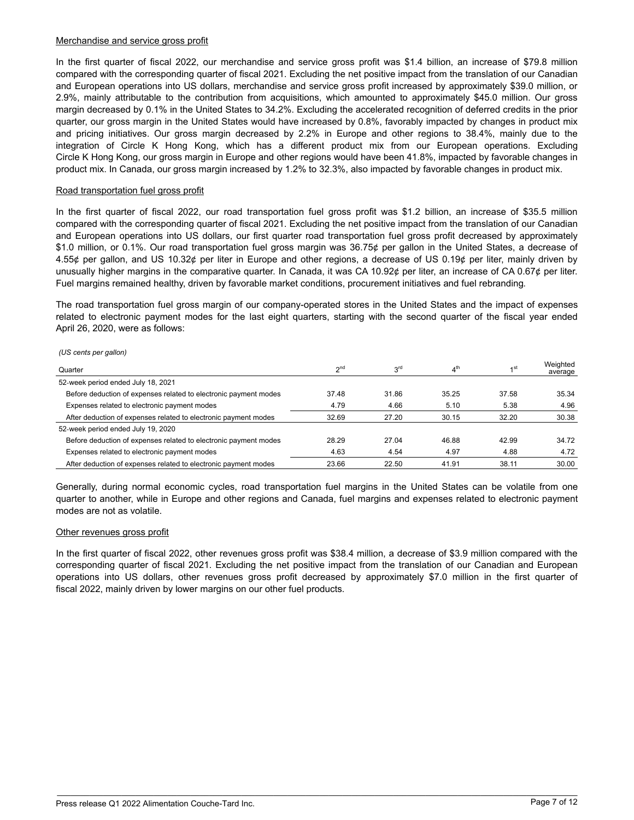#### Merchandise and service gross profit

In the first quarter of fiscal 2022, our merchandise and service gross profit was \$1.4 billion, an increase of \$79.8 million compared with the corresponding quarter of fiscal 2021. Excluding the net positive impact from the translation of our Canadian and European operations into US dollars, merchandise and service gross profit increased by approximately \$39.0 million, or 2.9%, mainly attributable to the contribution from acquisitions, which amounted to approximately \$45.0 million. Our gross margin decreased by 0.1% in the United States to 34.2%. Excluding the accelerated recognition of deferred credits in the prior quarter, our gross margin in the United States would have increased by 0.8%, favorably impacted by changes in product mix and pricing initiatives. Our gross margin decreased by 2.2% in Europe and other regions to 38.4%, mainly due to the integration of Circle K Hong Kong, which has a different product mix from our European operations. Excluding Circle K Hong Kong, our gross margin in Europe and other regions would have been 41.8%, impacted by favorable changes in product mix. In Canada, our gross margin increased by 1.2% to 32.3%, also impacted by favorable changes in product mix.

#### Road transportation fuel gross profit

In the first quarter of fiscal 2022, our road transportation fuel gross profit was \$1.2 billion, an increase of \$35.5 million compared with the corresponding quarter of fiscal 2021. Excluding the net positive impact from the translation of our Canadian and European operations into US dollars, our first quarter road transportation fuel gross profit decreased by approximately \$1.0 million, or 0.1%. Our road transportation fuel gross margin was 36.75¢ per gallon in the United States, a decrease of 4.55¢ per gallon, and US 10.32¢ per liter in Europe and other regions, a decrease of US 0.19¢ per liter, mainly driven by unusually higher margins in the comparative quarter. In Canada, it was CA 10.92 $\ell$  per liter, an increase of CA 0.67 $\ell$  per liter. Fuel margins remained healthy, driven by favorable market conditions, procurement initiatives and fuel rebranding.

The road transportation fuel gross margin of our company-operated stores in the United States and the impact of expenses related to electronic payment modes for the last eight quarters, starting with the second quarter of the fiscal year ended April 26, 2020, were as follows:

*(US cents per gallon)*

| Quarter                                                          | 2 <sup>nd</sup> | 3 <sup>rd</sup> | 4 <sup>th</sup> | 1 <sup>st</sup> | Weighted<br>average |
|------------------------------------------------------------------|-----------------|-----------------|-----------------|-----------------|---------------------|
| 52-week period ended July 18, 2021                               |                 |                 |                 |                 |                     |
| Before deduction of expenses related to electronic payment modes | 37.48           | 31.86           | 35.25           | 37.58           | 35.34               |
| Expenses related to electronic payment modes                     | 4.79            | 4.66            | 5.10            | 5.38            | 4.96                |
| After deduction of expenses related to electronic payment modes  | 32.69           | 27.20           | 30.15           | 32.20           | 30.38               |
| 52-week period ended July 19, 2020                               |                 |                 |                 |                 |                     |
| Before deduction of expenses related to electronic payment modes | 28.29           | 27.04           | 46.88           | 42.99           | 34.72               |
| Expenses related to electronic payment modes                     | 4.63            | 4.54            | 4.97            | 4.88            | 4.72                |
| After deduction of expenses related to electronic payment modes  | 23.66           | 22.50           | 41.91           | 38.11           | 30.00               |

Generally, during normal economic cycles, road transportation fuel margins in the United States can be volatile from one quarter to another, while in Europe and other regions and Canada, fuel margins and expenses related to electronic payment modes are not as volatile.

#### Other revenues gross profit

In the first quarter of fiscal 2022, other revenues gross profit was \$38.4 million, a decrease of \$3.9 million compared with the corresponding quarter of fiscal 2021. Excluding the net positive impact from the translation of our Canadian and European operations into US dollars, other revenues gross profit decreased by approximately \$7.0 million in the first quarter of fiscal 2022, mainly driven by lower margins on our other fuel products.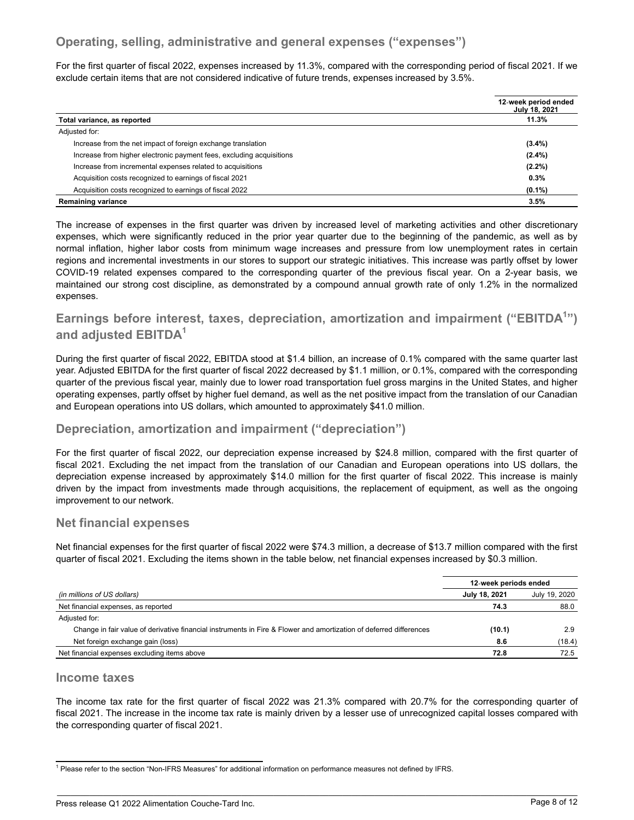## **Operating, selling, administrative and general expenses ("expenses")**

For the first quarter of fiscal 2022, expenses increased by 11.3%, compared with the corresponding period of fiscal 2021. If we exclude certain items that are not considered indicative of future trends, expenses increased by 3.5%.

|                                                                      | 12-week period ended<br>July 18, 2021 |
|----------------------------------------------------------------------|---------------------------------------|
| Total variance, as reported                                          | 11.3%                                 |
| Adjusted for:                                                        |                                       |
| Increase from the net impact of foreign exchange translation         | $(3.4\%)$                             |
| Increase from higher electronic payment fees, excluding acquisitions | $(2.4\%)$                             |
| Increase from incremental expenses related to acquisitions           | $(2.2\%)$                             |
| Acquisition costs recognized to earnings of fiscal 2021              | 0.3%                                  |
| Acquisition costs recognized to earnings of fiscal 2022              | $(0.1\%)$                             |
| <b>Remaining variance</b>                                            | 3.5%                                  |

The increase of expenses in the first quarter was driven by increased level of marketing activities and other discretionary expenses, which were significantly reduced in the prior year quarter due to the beginning of the pandemic, as well as by normal inflation, higher labor costs from minimum wage increases and pressure from low unemployment rates in certain regions and incremental investments in our stores to support our strategic initiatives. This increase was partly offset by lower COVID-19 related expenses compared to the corresponding quarter of the previous fiscal year. On a 2-year basis, we maintained our strong cost discipline, as demonstrated by a compound annual growth rate of only 1.2% in the normalized expenses.

## **Earnings before interest, taxes, depreciation, amortization and impairment ("EBITDA<sup>1</sup> ") and adjusted EBITDA<sup>1</sup>**

During the first quarter of fiscal 2022, EBITDA stood at \$1.4 billion, an increase of 0.1% compared with the same quarter last year. Adjusted EBITDA for the first quarter of fiscal 2022 decreased by \$1.1 million, or 0.1%, compared with the corresponding quarter of the previous fiscal year, mainly due to lower road transportation fuel gross margins in the United States, and higher operating expenses, partly offset by higher fuel demand, as well as the net positive impact from the translation of our Canadian and European operations into US dollars, which amounted to approximately \$41.0 million.

## **Depreciation, amortization and impairment ("depreciation")**

For the first quarter of fiscal 2022, our depreciation expense increased by \$24.8 million, compared with the first quarter of fiscal 2021. Excluding the net impact from the translation of our Canadian and European operations into US dollars, the depreciation expense increased by approximately \$14.0 million for the first quarter of fiscal 2022. This increase is mainly driven by the impact from investments made through acquisitions, the replacement of equipment, as well as the ongoing improvement to our network.

### **Net financial expenses**

Net financial expenses for the first quarter of fiscal 2022 were \$74.3 million, a decrease of \$13.7 million compared with the first quarter of fiscal 2021. Excluding the items shown in the table below, net financial expenses increased by \$0.3 million.

|                                                                                                                    | 12-week periods ended |               |
|--------------------------------------------------------------------------------------------------------------------|-----------------------|---------------|
| (in millions of US dollars)                                                                                        | July 18, 2021         | July 19, 2020 |
| Net financial expenses, as reported                                                                                | 74.3                  | 88.0          |
| Adjusted for:                                                                                                      |                       |               |
| Change in fair value of derivative financial instruments in Fire & Flower and amortization of deferred differences | (10.1)                | 2.9           |
| Net foreign exchange gain (loss)                                                                                   | 8.6                   | (18.4)        |
| Net financial expenses excluding items above                                                                       | 72.8                  | 72.5          |

#### **Income taxes**

.

The income tax rate for the first quarter of fiscal 2022 was 21.3% compared with 20.7% for the corresponding quarter of fiscal 2021. The increase in the income tax rate is mainly driven by a lesser use of unrecognized capital losses compared with the corresponding quarter of fiscal 2021.

<sup>&</sup>lt;sup>1</sup> Please refer to the section "Non-IFRS Measures" for additional information on performance measures not defined by IFRS.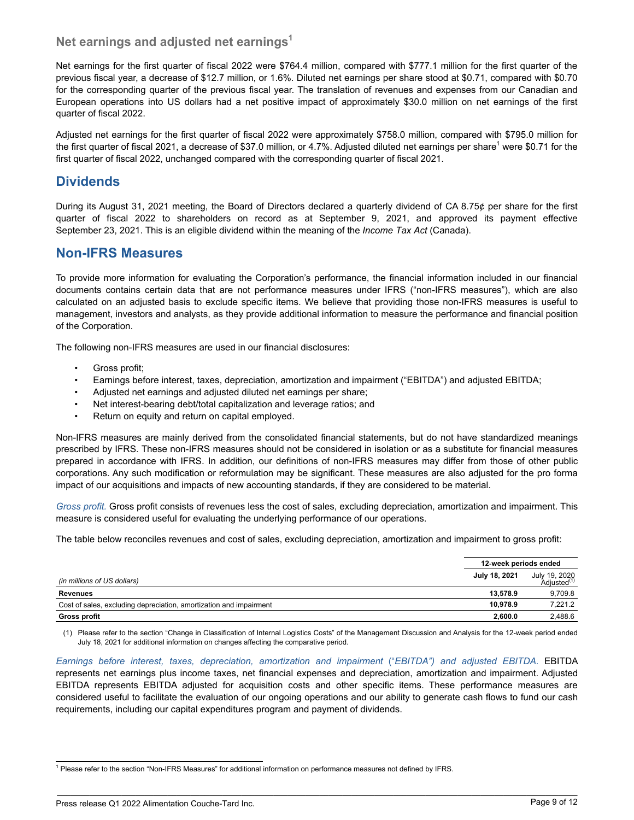### **Net earnings and adjusted net earnings<sup>1</sup>**

Net earnings for the first quarter of fiscal 2022 were \$764.4 million, compared with \$777.1 million for the first quarter of the previous fiscal year, a decrease of \$12.7 million, or 1.6%. Diluted net earnings per share stood at \$0.71, compared with \$0.70 for the corresponding quarter of the previous fiscal year. The translation of revenues and expenses from our Canadian and European operations into US dollars had a net positive impact of approximately \$30.0 million on net earnings of the first quarter of fiscal 2022.

Adjusted net earnings for the first quarter of fiscal 2022 were approximately \$758.0 million, compared with \$795.0 million for the first quarter of fiscal 2021, a decrease of \$37.0 million, or 4.7%. Adjusted diluted net earnings per share<sup>1</sup> were \$0.71 for the first quarter of fiscal 2022, unchanged compared with the corresponding quarter of fiscal 2021.

## **Dividends**

During its August 31, 2021 meeting, the Board of Directors declared a quarterly dividend of CA 8.75¢ per share for the first quarter of fiscal 2022 to shareholders on record as at September 9, 2021, and approved its payment effective September 23, 2021. This is an eligible dividend within the meaning of the *Income Tax Act* (Canada).

### **Non-IFRS Measures**

To provide more information for evaluating the Corporation's performance, the financial information included in our financial documents contains certain data that are not performance measures under IFRS ("non-IFRS measures"), which are also calculated on an adjusted basis to exclude specific items. We believe that providing those non-IFRS measures is useful to management, investors and analysts, as they provide additional information to measure the performance and financial position of the Corporation.

The following non-IFRS measures are used in our financial disclosures:

- Gross profit;
- Earnings before interest, taxes, depreciation, amortization and impairment ("EBITDA") and adjusted EBITDA;
- Adjusted net earnings and adjusted diluted net earnings per share;
- Net interest-bearing debt/total capitalization and leverage ratios; and
- Return on equity and return on capital employed.

Non-IFRS measures are mainly derived from the consolidated financial statements, but do not have standardized meanings prescribed by IFRS. These non-IFRS measures should not be considered in isolation or as a substitute for financial measures prepared in accordance with IFRS. In addition, our definitions of non-IFRS measures may differ from those of other public corporations. Any such modification or reformulation may be significant. These measures are also adjusted for the pro forma impact of our acquisitions and impacts of new accounting standards, if they are considered to be material.

*Gross profit.* Gross profit consists of revenues less the cost of sales, excluding depreciation, amortization and impairment. This measure is considered useful for evaluating the underlying performance of our operations.

The table below reconciles revenues and cost of sales, excluding depreciation, amortization and impairment to gross profit:

|                                                                    | 12-week periods ended |                                          |
|--------------------------------------------------------------------|-----------------------|------------------------------------------|
| (in millions of US dollars)                                        | July 18, 2021         | July 19, 2020<br>Adjusted <sup>(1)</sup> |
| <b>Revenues</b>                                                    | 13.578.9              | 9.709.8                                  |
| Cost of sales, excluding depreciation, amortization and impairment | 10.978.9              | 7.221.2                                  |
| Gross profit                                                       | 2.600.0               | 2,488.6                                  |

(1) Please refer to the section "Change in Classification of Internal Logistics Costs" of the Management Discussion and Analysis for the 12-week period ended July 18, 2021 for additional information on changes affecting the comparative period.

*Earnings before interest, taxes, depreciation, amortization and impairment* ("*EBITDA") and adjusted EBITDA.* EBITDA represents net earnings plus income taxes, net financial expenses and depreciation, amortization and impairment. Adjusted EBITDA represents EBITDA adjusted for acquisition costs and other specific items. These performance measures are considered useful to facilitate the evaluation of our ongoing operations and our ability to generate cash flows to fund our cash requirements, including our capital expenditures program and payment of dividends.

<sup>&</sup>lt;sup>1</sup> Please refer to the section "Non-IFRS Measures" for additional information on performance measures not defined by IFRS.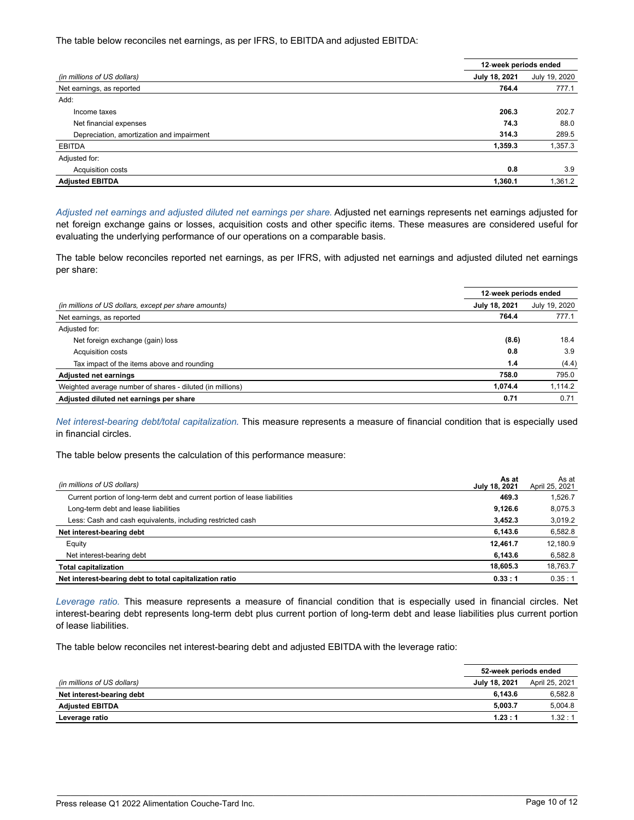The table below reconciles net earnings, as per IFRS, to EBITDA and adjusted EBITDA:

|                                           | 12-week periods ended |               |
|-------------------------------------------|-----------------------|---------------|
| (in millions of US dollars)               | July 18, 2021         | July 19, 2020 |
| Net earnings, as reported                 | 764.4                 | 777.1         |
| Add:                                      |                       |               |
| Income taxes                              | 206.3                 | 202.7         |
| Net financial expenses                    | 74.3                  | 88.0          |
| Depreciation, amortization and impairment | 314.3                 | 289.5         |
| <b>EBITDA</b>                             | 1,359.3               | 1,357.3       |
| Adjusted for:                             |                       |               |
| Acquisition costs                         | 0.8                   | 3.9           |
| <b>Adjusted EBITDA</b>                    | 1,360.1               | 1,361.2       |

*Adjusted net earnings and adjusted diluted net earnings per share.* Adjusted net earnings represents net earnings adjusted for net foreign exchange gains or losses, acquisition costs and other specific items. These measures are considered useful for evaluating the underlying performance of our operations on a comparable basis.

The table below reconciles reported net earnings, as per IFRS, with adjusted net earnings and adjusted diluted net earnings per share:

|                                                           | 12-week periods ended |               |
|-----------------------------------------------------------|-----------------------|---------------|
| (in millions of US dollars, except per share amounts)     | July 18, 2021         | July 19, 2020 |
| Net earnings, as reported                                 | 764.4                 | 777.1         |
| Adjusted for:                                             |                       |               |
| Net foreign exchange (gain) loss                          | (8.6)                 | 18.4          |
| Acquisition costs                                         | 0.8                   | 3.9           |
| Tax impact of the items above and rounding                | 1.4                   | (4.4)         |
| <b>Adjusted net earnings</b>                              | 758.0                 | 795.0         |
| Weighted average number of shares - diluted (in millions) | 1.074.4               | 1.114.2       |
| Adjusted diluted net earnings per share                   | 0.71                  | 0.71          |

*Net interest-bearing debt/total capitalization.* This measure represents a measure of financial condition that is especially used in financial circles.

The table below presents the calculation of this performance measure:

| (in millions of US dollars)                                                | As at<br>July 18, 2021 | As at<br>April 25, 2021 |
|----------------------------------------------------------------------------|------------------------|-------------------------|
| Current portion of long-term debt and current portion of lease liabilities | 469.3                  | 1,526.7                 |
| Long-term debt and lease liabilities                                       | 9.126.6                | 8,075.3                 |
| Less: Cash and cash equivalents, including restricted cash                 | 3.452.3                | 3,019.2                 |
| Net interest-bearing debt                                                  | 6.143.6                | 6,582.8                 |
| Equity                                                                     | 12.461.7               | 12.180.9                |
| Net interest-bearing debt                                                  | 6.143.6                | 6,582.8                 |
| <b>Total capitalization</b>                                                | 18.605.3               | 18,763.7                |
| Net interest-bearing debt to total capitalization ratio                    | 0.33:1                 | 0.35:1                  |

*Leverage ratio.* This measure represents a measure of financial condition that is especially used in financial circles. Net interest-bearing debt represents long-term debt plus current portion of long-term debt and lease liabilities plus current portion of lease liabilities.

The table below reconciles net interest-bearing debt and adjusted EBITDA with the leverage ratio:

|                             | 52-week periods ended |                |
|-----------------------------|-----------------------|----------------|
| (in millions of US dollars) | July 18, 2021         | April 25, 2021 |
| Net interest-bearing debt   | 6.143.6               | 6,582.8        |
| <b>Adjusted EBITDA</b>      | 5.003.7               | 5.004.8        |
| Leverage ratio              | 1.23:1                | 1.32:1         |

\_\_\_\_\_\_\_\_\_\_\_\_\_\_\_\_\_\_\_\_\_\_\_\_\_\_\_\_\_\_\_\_\_\_\_\_\_\_\_\_\_\_\_\_\_\_\_\_\_\_\_\_\_\_\_\_\_\_\_\_\_\_\_\_\_\_\_\_\_\_\_\_\_\_\_\_\_\_\_\_\_\_\_\_\_\_\_\_\_\_\_\_\_\_\_\_\_\_\_\_\_\_\_\_\_\_\_\_\_\_\_\_\_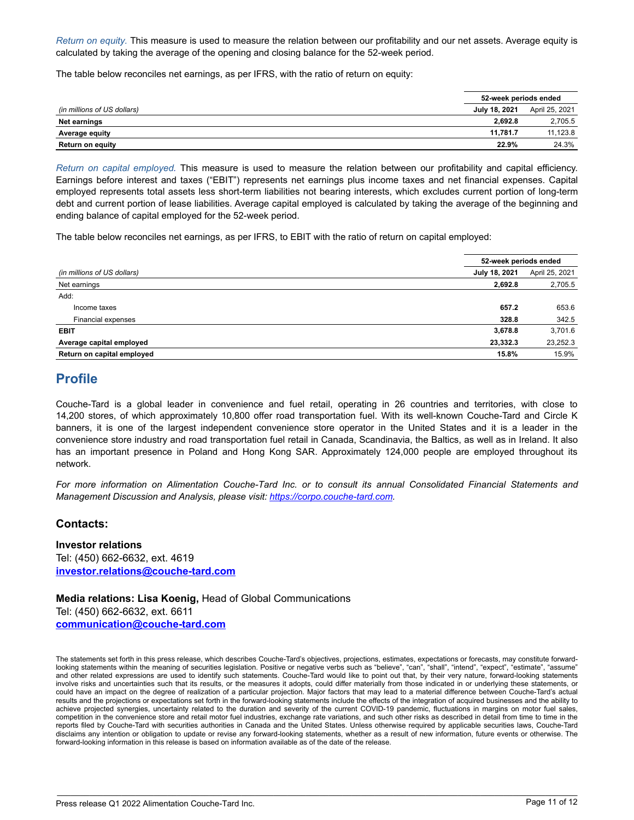*Return on equity.* This measure is used to measure the relation between our profitability and our net assets. Average equity is calculated by taking the average of the opening and closing balance for the 52-week period.

The table below reconciles net earnings, as per IFRS, with the ratio of return on equity:

|                             |               | 52-week periods ended |  |  |
|-----------------------------|---------------|-----------------------|--|--|
| (in millions of US dollars) | July 18, 2021 | April 25, 2021        |  |  |
| Net earnings                | 2.692.8       | 2,705.5               |  |  |
| Average equity              | 11.781.7      | 11.123.8              |  |  |
| Return on equity            | 22.9%         | 24.3%                 |  |  |

*Return on capital employed.* This measure is used to measure the relation between our profitability and capital efficiency. Earnings before interest and taxes ("EBIT") represents net earnings plus income taxes and net financial expenses. Capital employed represents total assets less short-term liabilities not bearing interests, which excludes current portion of long-term debt and current portion of lease liabilities. Average capital employed is calculated by taking the average of the beginning and ending balance of capital employed for the 52-week period.

The table below reconciles net earnings, as per IFRS, to EBIT with the ratio of return on capital employed:

|                             | 52-week periods ended |                |
|-----------------------------|-----------------------|----------------|
| (in millions of US dollars) | July 18, 2021         | April 25, 2021 |
| Net earnings                | 2,692.8               | 2,705.5        |
| Add:                        |                       |                |
| Income taxes                | 657.2                 | 653.6          |
| Financial expenses          | 328.8                 | 342.5          |
| <b>EBIT</b>                 | 3,678.8               | 3.701.6        |
| Average capital employed    | 23,332.3              | 23,252.3       |
| Return on capital employed  | 15.8%                 | 15.9%          |

## **Profile**

Couche-Tard is a global leader in convenience and fuel retail, operating in 26 countries and territories, with close to 14,200 stores, of which approximately 10,800 offer road transportation fuel. With its well-known Couche-Tard and Circle K banners, it is one of the largest independent convenience store operator in the United States and it is a leader in the convenience store industry and road transportation fuel retail in Canada, Scandinavia, the Baltics, as well as in Ireland. It also has an important presence in Poland and Hong Kong SAR. Approximately 124,000 people are employed throughout its network.

*For more information on Alimentation Couche-Tard Inc. or to consult its annual Consolidated Financial Statements and Management Discussion and Analysis, please visit: https://corpo.couche-tard.com.*

### **Contacts:**

.

**Investor relations** Tel: (450) 662-6632, ext. 4619 **investor.relations@couche-tard.com**

**Media relations: Lisa Koenig,** Head of Global Communications Tel: (450) 662-6632, ext. 6611 **communication@couche-tard.com**

The statements set forth in this press release, which describes Couche-Tard's objectives, projections, estimates, expectations or forecasts, may constitute forwardlooking statements within the meaning of securities legislation. Positive or negative verbs such as "believe", "can", "shall", "intend", "expect", "estimate", "assume" and other related expressions are used to identify such statements. Couche-Tard would like to point out that, by their very nature, forward-looking statements involve risks and uncertainties such that its results, or the measures it adopts, could differ materially from those indicated in or underlying these statements, or could have an impact on the degree of realization of a particular projection. Major factors that may lead to a material difference between Couche-Tard's actual results and the projections or expectations set forth in the forward-looking statements include the effects of the integration of acquired businesses and the ability to achieve projected synergies, uncertainty related to the duration and severity of the current COVID-19 pandemic, fluctuations in margins on motor fuel sales, competition in the convenience store and retail motor fuel industries, exchange rate variations, and such other risks as described in detail from time to time in the reports filed by Couche-Tard with securities authorities in Canada and the United States. Unless otherwise required by applicable securities laws, Couche-Tard disclaims any intention or obligation to update or revise any forward-looking statements, whether as a result of new information, future events or otherwise. The forward-looking information in this release is based on information available as of the date of the release.

\_\_\_\_\_\_\_\_\_\_\_\_\_\_\_\_\_\_\_\_\_\_\_\_\_\_\_\_\_\_\_\_\_\_\_\_\_\_\_\_\_\_\_\_\_\_\_\_\_\_\_\_\_\_\_\_\_\_\_\_\_\_\_\_\_\_\_\_\_\_\_\_\_\_\_\_\_\_\_\_\_\_\_\_\_\_\_\_\_\_\_\_\_\_\_\_\_\_\_\_\_\_\_\_\_\_\_\_\_\_\_\_\_